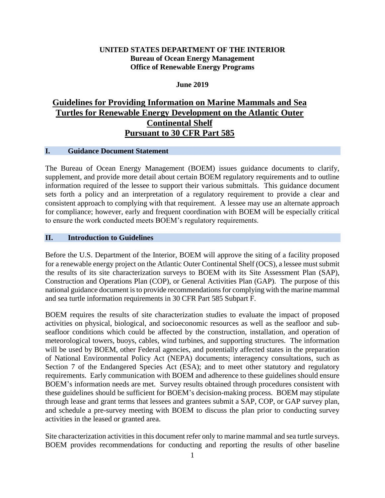## **UNITED STATES DEPARTMENT OF THE INTERIOR Bureau of Ocean Energy Management Office of Renewable Energy Programs**

### **June 2019**

# **Guidelines for Providing Information on Marine Mammals and Sea Turtles for Renewable Energy Development on the Atlantic Outer Continental Shelf Pursuant to 30 CFR Part 585**

## **I. Guidance Document Statement**

The Bureau of Ocean Energy Management (BOEM) issues guidance documents to clarify, supplement, and provide more detail about certain BOEM regulatory requirements and to outline information required of the lessee to support their various submittals. This guidance document sets forth a policy and an interpretation of a regulatory requirement to provide a clear and consistent approach to complying with that requirement. A lessee may use an alternate approach for compliance; however, early and frequent coordination with BOEM will be especially critical to ensure the work conducted meets BOEM's regulatory requirements.

#### **II. Introduction to Guidelines**

Before the U.S. Department of the Interior, BOEM will approve the siting of a facility proposed for a renewable energy project on the Atlantic Outer Continental Shelf (OCS), a lessee must submit the results of its site characterization surveys to BOEM with its Site Assessment Plan (SAP), Construction and Operations Plan (COP), or General Activities Plan (GAP). The purpose of this national guidance document is to provide recommendations for complying with the marine mammal and sea turtle information requirements in 30 CFR Part 585 Subpart F.

BOEM requires the results of site characterization studies to evaluate the impact of proposed activities on physical, biological, and socioeconomic resources as well as the seafloor and subseafloor conditions which could be affected by the construction, installation, and operation of meteorological towers, buoys, cables, wind turbines, and supporting structures. The information will be used by BOEM, other Federal agencies, and potentially affected states in the preparation of National Environmental Policy Act (NEPA) documents; interagency consultations, such as Section 7 of the Endangered Species Act (ESA); and to meet other statutory and regulatory requirements. Early communication with BOEM and adherence to these guidelines should ensure BOEM's information needs are met. Survey results obtained through procedures consistent with these guidelines should be sufficient for BOEM's decision-making process. BOEM may stipulate through lease and grant terms that lessees and grantees submit a SAP, COP, or GAP survey plan, and schedule a pre-survey meeting with BOEM to discuss the plan prior to conducting survey activities in the leased or granted area.

Site characterization activities in this document refer only to marine mammal and sea turtle surveys. BOEM provides recommendations for conducting and reporting the results of other baseline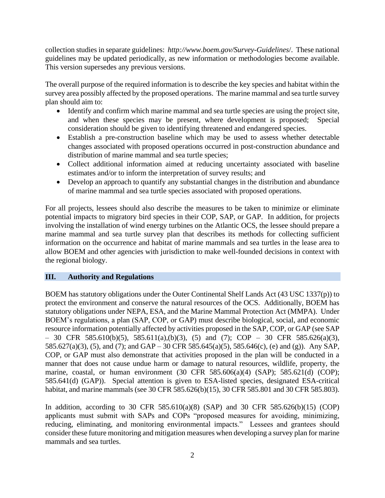collection studies in separate guidelines: *[http://www.boem.gov/Survey-Guidelines](http://www.boem.gov/Survey-Guidelines/)*/. These national guidelines may be updated periodically, as new information or methodologies become available. This version supersedes any previous versions.

The overall purpose of the required information is to describe the key species and habitat within the survey area possibly affected by the proposed operations. The marine mammal and sea turtle survey plan should aim to:

- Identify and confirm which marine mammal and sea turtle species are using the project site, and when these species may be present, where development is proposed; Special consideration should be given to identifying threatened and endangered species.
- Establish a pre-construction baseline which may be used to assess whether detectable changes associated with proposed operations occurred in post-construction abundance and distribution of marine mammal and sea turtle species;
- Collect additional information aimed at reducing uncertainty associated with baseline estimates and/or to inform the interpretation of survey results; and
- Develop an approach to quantify any substantial changes in the distribution and abundance of marine mammal and sea turtle species associated with proposed operations.

For all projects, lessees should also describe the measures to be taken to minimize or eliminate potential impacts to migratory bird species in their COP, SAP, or GAP. In addition, for projects involving the installation of wind energy turbines on the Atlantic OCS, the lessee should prepare a marine mammal and sea turtle survey plan that describes its methods for collecting sufficient information on the occurrence and habitat of marine mammals and sea turtles in the lease area to allow BOEM and other agencies with jurisdiction to make well-founded decisions in context with the regional biology.

# **III. Authority and Regulations**

BOEM has statutory obligations under the Outer Continental Shelf Lands Act (43 USC 1337(p)) to protect the environment and conserve the natural resources of the OCS. Additionally, BOEM has statutory obligations under NEPA, ESA, and the Marine Mammal Protection Act (MMPA). Under BOEM's regulations, a plan (SAP, COP, or GAP) must describe biological, social, and economic resource information potentially affected by activities proposed in the SAP, COP, or GAP (see SAP  $-$  30 CFR 585.610(b)(5), 585.611(a),(b)(3), (5) and (7); COP – 30 CFR 585.626(a)(3), 585.627(a)(3), (5), and (7); and GAP – 30 CFR 585.645(a)(5), 585.646(c), (e) and (g)). Any SAP, COP, or GAP must also demonstrate that activities proposed in the plan will be conducted in a manner that does not cause undue harm or damage to natural resources, wildlife, property, the marine, coastal, or human environment (30 CFR 585.606(a)(4) (SAP); 585.621(d) (COP); 585.641(d) (GAP)). Special attention is given to ESA-listed species, designated ESA-critical habitat, and marine mammals (see 30 CFR 585.626(b)(15), 30 CFR 585.801 and 30 CFR 585.803).

In addition, according to 30 CFR 585.610(a)(8) (SAP) and 30 CFR 585.626(b)(15) (COP) applicants must submit with SAPs and COPs "proposed measures for avoiding, minimizing, reducing, eliminating, and monitoring environmental impacts." Lessees and grantees should consider these future monitoring and mitigation measures when developing a survey plan for marine mammals and sea turtles.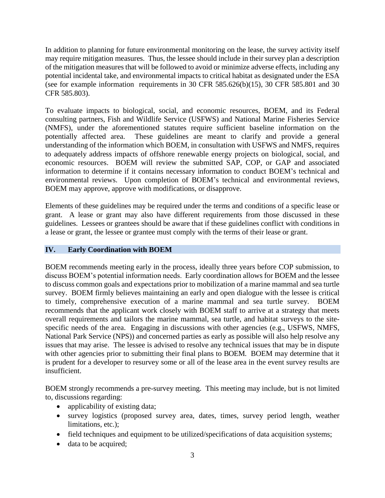In addition to planning for future environmental monitoring on the lease, the survey activity itself may require mitigation measures. Thus, the lessee should include in their survey plan a description of the mitigation measures that will be followed to avoid or minimize adverse effects, including any potential incidental take, and environmental impacts to critical habitat as designated under the ESA (see for example information requirements in 30 CFR 585.626(b)(15), 30 CFR 585.801 and 30 CFR 585.803).

To evaluate impacts to biological, social, and economic resources, BOEM, and its Federal consulting partners, Fish and Wildlife Service (USFWS) and National Marine Fisheries Service (NMFS), under the aforementioned statutes require sufficient baseline information on the potentially affected area. These guidelines are meant to clarify and provide a general understanding of the information which BOEM, in consultation with USFWS and NMFS, requires to adequately address impacts of offshore renewable energy projects on biological, social, and economic resources. BOEM will review the submitted SAP, COP, or GAP and associated information to determine if it contains necessary information to conduct BOEM's technical and environmental reviews. Upon completion of BOEM's technical and environmental reviews, BOEM may approve, approve with modifications, or disapprove.

Elements of these guidelines may be required under the terms and conditions of a specific lease or grant. A lease or grant may also have different requirements from those discussed in these guidelines. Lessees or grantees should be aware that if these guidelines conflict with conditions in a lease or grant, the lessee or grantee must comply with the terms of their lease or grant.

## **IV. Early Coordination with BOEM**

BOEM recommends meeting early in the process, ideally three years before COP submission, to discuss BOEM's potential information needs. Early coordination allows for BOEM and the lessee to discuss common goals and expectations prior to mobilization of a marine mammal and sea turtle survey. BOEM firmly believes maintaining an early and open dialogue with the lessee is critical to timely, comprehensive execution of a marine mammal and sea turtle survey. BOEM recommends that the applicant work closely with BOEM staff to arrive at a strategy that meets overall requirements and tailors the marine mammal, sea turtle, and habitat surveys to the sitespecific needs of the area. Engaging in discussions with other agencies (e.g., USFWS, NMFS, National Park Service (NPS)) and concerned parties as early as possible will also help resolve any issues that may arise. The lessee is advised to resolve any technical issues that may be in dispute with other agencies prior to submitting their final plans to BOEM. BOEM may determine that it is prudent for a developer to resurvey some or all of the lease area in the event survey results are insufficient.

BOEM strongly recommends a pre-survey meeting. This meeting may include, but is not limited to, discussions regarding:

- applicability of existing data;
- survey logistics (proposed survey area, dates, times, survey period length, weather limitations, etc.);
- field techniques and equipment to be utilized/specifications of data acquisition systems;
- data to be acquired;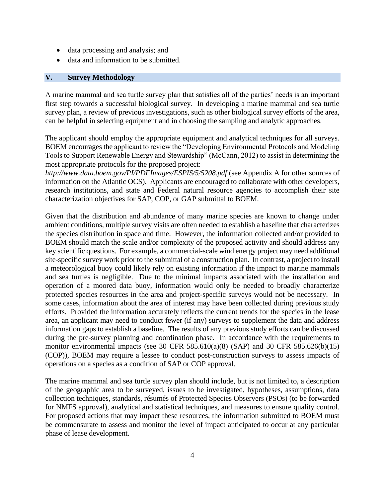- data processing and analysis; and
- data and information to be submitted.

## **V. Survey Methodology**

A marine mammal and sea turtle survey plan that satisfies all of the parties' needs is an important first step towards a successful biological survey. In developing a marine mammal and sea turtle survey plan, a review of previous investigations, such as other biological survey efforts of the area, can be helpful in selecting equipment and in choosing the sampling and analytic approaches.

The applicant should employ the appropriate equipment and analytical techniques for all surveys. BOEM encourages the applicant to review the "Developing Environmental Protocols and Modeling Tools to Support Renewable Energy and Stewardship" (McCann, 2012) to assist in determining the most appropriate protocols for the proposed project:

*http://www.data.boem.gov/PI/PDFImages/ESPIS/5/5208.pdf* (see Appendix A for other sources of information on the Atlantic OCS). Applicants are encouraged to collaborate with other developers, research institutions, and state and Federal natural resource agencies to accomplish their site characterization objectives for SAP, COP, or GAP submittal to BOEM.

Given that the distribution and abundance of many marine species are known to change under ambient conditions, multiple survey visits are often needed to establish a baseline that characterizes the species distribution in space and time. However, the information collected and/or provided to BOEM should match the scale and/or complexity of the proposed activity and should address any key scientific questions. For example, a commercial-scale wind energy project may need additional site-specific survey work prior to the submittal of a construction plan. In contrast, a project to install a meteorological buoy could likely rely on existing information if the impact to marine mammals and sea turtles is negligible. Due to the minimal impacts associated with the installation and operation of a moored data buoy, information would only be needed to broadly characterize protected species resources in the area and project-specific surveys would not be necessary. In some cases, information about the area of interest may have been collected during previous study efforts. Provided the information accurately reflects the current trends for the species in the lease area, an applicant may need to conduct fewer (if any) surveys to supplement the data and address information gaps to establish a baseline. The results of any previous study efforts can be discussed during the pre-survey planning and coordination phase. In accordance with the requirements to monitor environmental impacts (see 30 CFR 585.610(a)(8) (SAP) and 30 CFR 585.626(b)(15) (COP)), BOEM may require a lessee to conduct post-construction surveys to assess impacts of operations on a species as a condition of SAP or COP approval.

The marine mammal and sea turtle survey plan should include, but is not limited to, a description of the geographic area to be surveyed, issues to be investigated, hypotheses, assumptions, data collection techniques, standards, résumés of Protected Species Observers (PSOs) (to be forwarded for NMFS approval), analytical and statistical techniques, and measures to ensure quality control. For proposed actions that may impact these resources, the information submitted to BOEM must be commensurate to assess and monitor the level of impact anticipated to occur at any particular phase of lease development.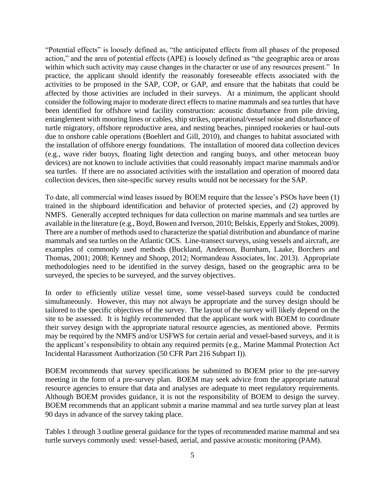"Potential effects" is loosely defined as, "the anticipated effects from all phases of the proposed action," and the area of potential effects (APE) is loosely defined as "the geographic area or areas within which such activity may cause changes in the character or use of any resources present." In practice, the applicant should identify the reasonably foreseeable effects associated with the activities to be proposed in the SAP, COP, or GAP, and ensure that the habitats that could be affected by those activities are included in their surveys. At a minimum, the applicant should consider the following major to moderate direct effects to marine mammals and sea turtles that have been identified for offshore wind facility construction: acoustic disturbance from pile driving, entanglement with mooring lines or cables, ship strikes, operational/vessel noise and disturbance of turtle migratory, offshore reproductive area, and nesting beaches, pinniped rookeries or haul-outs due to onshore cable operations (Boehlert and Gill, 2010), and changes to habitat associated with the installation of offshore energy foundations. The installation of moored data collection devices (e.g., wave rider buoys, floating light detection and ranging buoys, and other metocean buoy devices) are not known to include activities that could reasonably impact marine mammals and/or sea turtles. If there are no associated activities with the installation and operation of moored data collection devices, then site-specific survey results would not be necessary for the SAP.

To date, all commercial wind leases issued by BOEM require that the lessee's PSOs have been (1) trained in the shipboard identification and behavior of protected species, and (2) approved by NMFS. Generally accepted techniques for data collection on marine mammals and sea turtles are available in the literature (e.g., Boyd, Bowen and Iverson, 2010; Belskis, Epperly and Stokes, 2009). There are a number of methods used to characterize the spatial distribution and abundance of marine mammals and sea turtles on the Atlantic OCS. Line-transect surveys, using vessels and aircraft, are examples of commonly used methods (Buckland, Anderson, Burnham, Laake, Borchers and Thomas, 2001; 2008; Kenney and Shoop, 2012; Normandeau Associates, Inc. 2013). Appropriate methodologies need to be identified in the survey design, based on the geographic area to be surveyed, the species to be surveyed, and the survey objectives.

In order to efficiently utilize vessel time, some vessel-based surveys could be conducted simultaneously. However, this may not always be appropriate and the survey design should be tailored to the specific objectives of the survey. The layout of the survey will likely depend on the site to be assessed. It is highly recommended that the applicant work with BOEM to coordinate their survey design with the appropriate natural resource agencies, as mentioned above. Permits may be required by the NMFS and/or USFWS for certain aerial and vessel-based surveys, and it is the applicant's responsibility to obtain any required permits (e.g., Marine Mammal Protection Act Incidental Harassment Authorization (50 CFR Part 216 Subpart I)).

BOEM recommends that survey specifications be submitted to BOEM prior to the pre-survey meeting in the form of a pre-survey plan. BOEM may seek advice from the appropriate natural resource agencies to ensure that data and analyses are adequate to meet regulatory requirements. Although BOEM provides guidance, it is not the responsibility of BOEM to design the survey. BOEM recommends that an applicant submit a marine mammal and sea turtle survey plan at least 90 days in advance of the survey taking place.

Tables 1 through 3 outline general guidance for the types of recommended marine mammal and sea turtle surveys commonly used: vessel-based, aerial, and passive acoustic monitoring (PAM).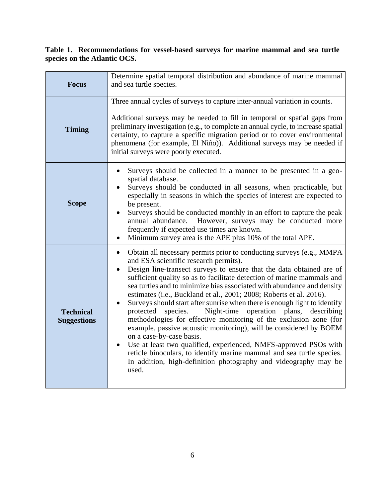# **Table 1. Recommendations for vessel-based surveys for marine mammal and sea turtle species on the Atlantic OCS.**

| <b>Focus</b>                           | Determine spatial temporal distribution and abundance of marine mammal<br>and sea turtle species.                                                                                                                                                                                                                                                                                                                                                                                                                                                                                                                                                                                                                                                                                                                                                                                                                                                                                                                   |  |  |
|----------------------------------------|---------------------------------------------------------------------------------------------------------------------------------------------------------------------------------------------------------------------------------------------------------------------------------------------------------------------------------------------------------------------------------------------------------------------------------------------------------------------------------------------------------------------------------------------------------------------------------------------------------------------------------------------------------------------------------------------------------------------------------------------------------------------------------------------------------------------------------------------------------------------------------------------------------------------------------------------------------------------------------------------------------------------|--|--|
| <b>Timing</b>                          | Three annual cycles of surveys to capture inter-annual variation in counts.<br>Additional surveys may be needed to fill in temporal or spatial gaps from<br>preliminary investigation (e.g., to complete an annual cycle, to increase spatial<br>certainty, to capture a specific migration period or to cover environmental<br>phenomena (for example, El Niño)). Additional surveys may be needed if<br>initial surveys were poorly executed.                                                                                                                                                                                                                                                                                                                                                                                                                                                                                                                                                                     |  |  |
| <b>Scope</b>                           | Surveys should be collected in a manner to be presented in a geo-<br>$\bullet$<br>spatial database.<br>Surveys should be conducted in all seasons, when practicable, but<br>especially in seasons in which the species of interest are expected to<br>be present.<br>Surveys should be conducted monthly in an effort to capture the peak<br>However, surveys may be conducted more<br>annual abundance.<br>frequently if expected use times are known.<br>Minimum survey area is the APE plus 10% of the total APE.                                                                                                                                                                                                                                                                                                                                                                                                                                                                                                |  |  |
| <b>Technical</b><br><b>Suggestions</b> | Obtain all necessary permits prior to conducting surveys (e.g., MMPA<br>$\bullet$<br>and ESA scientific research permits).<br>Design line-transect surveys to ensure that the data obtained are of<br>$\bullet$<br>sufficient quality so as to facilitate detection of marine mammals and<br>sea turtles and to minimize bias associated with abundance and density<br>estimates (i.e., Buckland et al., 2001; 2008; Roberts et al. 2016).<br>Surveys should start after sunrise when there is enough light to identify<br>$\bullet$<br>Night-time operation plans, describing<br>protected<br>species.<br>methodologies for effective monitoring of the exclusion zone (for<br>example, passive acoustic monitoring), will be considered by BOEM<br>on a case-by-case basis.<br>Use at least two qualified, experienced, NMFS-approved PSOs with<br>$\bullet$<br>reticle binoculars, to identify marine mammal and sea turtle species.<br>In addition, high-definition photography and videography may be<br>used. |  |  |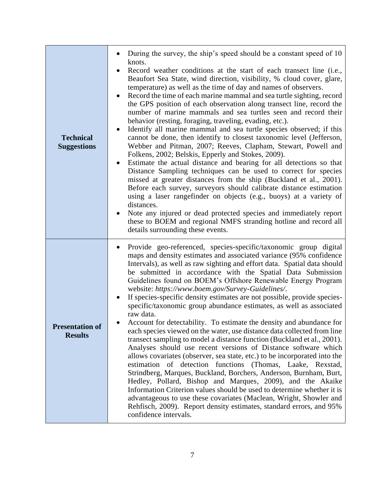|                                          | During the survey, the ship's speed should be a constant speed of 10<br>knots.                                                                                                                                                                                                                                                                                                                                                                                                                                                                                                                                                                                                                                                                                                                                                                                                                                                                                                                                                                                                                                                                                                                                                                                                                                                                                                                       |  |
|------------------------------------------|------------------------------------------------------------------------------------------------------------------------------------------------------------------------------------------------------------------------------------------------------------------------------------------------------------------------------------------------------------------------------------------------------------------------------------------------------------------------------------------------------------------------------------------------------------------------------------------------------------------------------------------------------------------------------------------------------------------------------------------------------------------------------------------------------------------------------------------------------------------------------------------------------------------------------------------------------------------------------------------------------------------------------------------------------------------------------------------------------------------------------------------------------------------------------------------------------------------------------------------------------------------------------------------------------------------------------------------------------------------------------------------------------|--|
| <b>Technical</b><br><b>Suggestions</b>   | Record weather conditions at the start of each transect line (i.e.,<br>Beaufort Sea State, wind direction, visibility, % cloud cover, glare,<br>temperature) as well as the time of day and names of observers.<br>Record the time of each marine mammal and sea turtle sighting, record<br>the GPS position of each observation along transect line, record the<br>number of marine mammals and sea turtles seen and record their<br>behavior (resting, foraging, traveling, evading, etc.).<br>Identify all marine mammal and sea turtle species observed; if this<br>cannot be done, then identify to closest taxonomic level (Jefferson,<br>Webber and Pitman, 2007; Reeves, Clapham, Stewart, Powell and<br>Folkens, 2002; Belskis, Epperly and Stokes, 2009).<br>Estimate the actual distance and bearing for all detections so that<br>$\bullet$<br>Distance Sampling techniques can be used to correct for species<br>missed at greater distances from the ship (Buckland et al., 2001).<br>Before each survey, surveyors should calibrate distance estimation<br>using a laser rangefinder on objects (e.g., buoys) at a variety of<br>distances.<br>Note any injured or dead protected species and immediately report<br>these to BOEM and regional NMFS stranding hotline and record all<br>details surrounding these events.                                                             |  |
| <b>Presentation of</b><br><b>Results</b> | Provide geo-referenced, species-specific/taxonomic group digital<br>maps and density estimates and associated variance (95% confidence<br>Intervals), as well as raw sighting and effort data. Spatial data should<br>be submitted in accordance with the Spatial Data Submission<br>Guidelines found on BOEM's Offshore Renewable Energy Program<br>website: https://www.boem.gov/Survey-Guidelines/.<br>If species-specific density estimates are not possible, provide species-<br>specific/taxonomic group abundance estimates, as well as associated<br>raw data.<br>Account for detectability. To estimate the density and abundance for<br>each species viewed on the water, use distance data collected from line<br>transect sampling to model a distance function (Buckland et al., 2001).<br>Analyses should use recent versions of Distance software which<br>allows covariates (observer, sea state, etc.) to be incorporated into the<br>estimation of detection functions (Thomas, Laake, Rexstad,<br>Strindberg, Marques, Buckland, Borchers, Anderson, Burnham, Burt,<br>Hedley, Pollard, Bishop and Marques, 2009), and the Akaike<br>Information Criterion values should be used to determine whether it is<br>advantageous to use these covariates (Maclean, Wright, Showler and<br>Rehfisch, 2009). Report density estimates, standard errors, and 95%<br>confidence intervals. |  |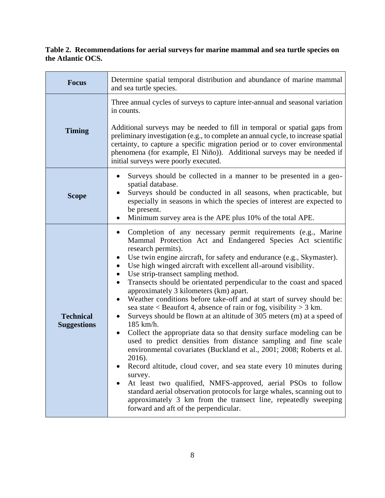# **Table 2. Recommendations for aerial surveys for marine mammal and sea turtle species on the Atlantic OCS.**

| <b>Focus</b>                           | Determine spatial temporal distribution and abundance of marine mammal<br>and sea turtle species.                                                                                                                                                                                                                                                                                                                                                                                                                                                                                                                                                                                                                                                                                                                                                                                                                                                                                                                                                                                                                                                                                                                                                                                                                                                                 |  |
|----------------------------------------|-------------------------------------------------------------------------------------------------------------------------------------------------------------------------------------------------------------------------------------------------------------------------------------------------------------------------------------------------------------------------------------------------------------------------------------------------------------------------------------------------------------------------------------------------------------------------------------------------------------------------------------------------------------------------------------------------------------------------------------------------------------------------------------------------------------------------------------------------------------------------------------------------------------------------------------------------------------------------------------------------------------------------------------------------------------------------------------------------------------------------------------------------------------------------------------------------------------------------------------------------------------------------------------------------------------------------------------------------------------------|--|
| <b>Timing</b>                          | Three annual cycles of surveys to capture inter-annual and seasonal variation<br>in counts.<br>Additional surveys may be needed to fill in temporal or spatial gaps from<br>preliminary investigation (e.g., to complete an annual cycle, to increase spatial<br>certainty, to capture a specific migration period or to cover environmental<br>phenomena (for example, El Niño)). Additional surveys may be needed if                                                                                                                                                                                                                                                                                                                                                                                                                                                                                                                                                                                                                                                                                                                                                                                                                                                                                                                                            |  |
| <b>Scope</b>                           | initial surveys were poorly executed.<br>Surveys should be collected in a manner to be presented in a geo-<br>$\bullet$<br>spatial database.<br>Surveys should be conducted in all seasons, when practicable, but<br>especially in seasons in which the species of interest are expected to<br>be present.<br>Minimum survey area is the APE plus 10% of the total APE.<br>$\bullet$                                                                                                                                                                                                                                                                                                                                                                                                                                                                                                                                                                                                                                                                                                                                                                                                                                                                                                                                                                              |  |
| <b>Technical</b><br><b>Suggestions</b> | Completion of any necessary permit requirements (e.g., Marine<br>$\bullet$<br>Mammal Protection Act and Endangered Species Act scientific<br>research permits).<br>Use twin engine aircraft, for safety and endurance (e.g., Skymaster).<br>$\bullet$<br>Use high winged aircraft with excellent all-around visibility.<br>$\bullet$<br>Use strip-transect sampling method.<br>$\bullet$<br>Transects should be orientated perpendicular to the coast and spaced<br>$\bullet$<br>approximately 3 kilometers (km) apart.<br>Weather conditions before take-off and at start of survey should be:<br>٠<br>sea state < Beaufort 4, absence of rain or fog, visibility > 3 km.<br>Surveys should be flown at an altitude of 305 meters (m) at a speed of<br>$\bullet$<br>185 km/h.<br>Collect the appropriate data so that density surface modeling can be<br>$\bullet$<br>used to predict densities from distance sampling and fine scale<br>environmental covariates (Buckland et al., 2001; 2008; Roberts et al.<br>2016).<br>Record altitude, cloud cover, and sea state every 10 minutes during<br>survey.<br>At least two qualified, NMFS-approved, aerial PSOs to follow<br>standard aerial observation protocols for large whales, scanning out to<br>approximately 3 km from the transect line, repeatedly sweeping<br>forward and aft of the perpendicular. |  |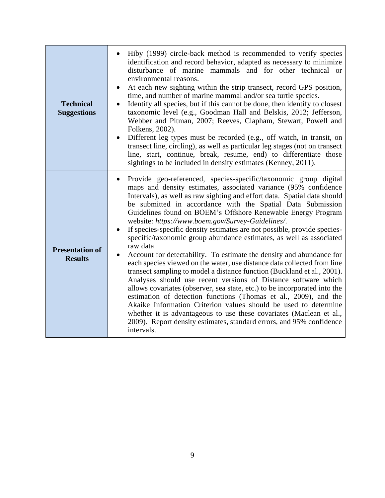| <b>Technical</b><br><b>Suggestions</b>   | Hiby (1999) circle-back method is recommended to verify species<br>identification and record behavior, adapted as necessary to minimize<br>disturbance of marine mammals and for other technical or<br>environmental reasons.<br>At each new sighting within the strip transect, record GPS position,<br>time, and number of marine mammal and/or sea turtle species.<br>Identify all species, but if this cannot be done, then identify to closest<br>taxonomic level (e.g., Goodman Hall and Belskis, 2012; Jefferson,<br>Webber and Pitman, 2007; Reeves, Clapham, Stewart, Powell and<br>Folkens, 2002).<br>Different leg types must be recorded (e.g., off watch, in transit, on<br>transect line, circling), as well as particular leg stages (not on transect<br>line, start, continue, break, resume, end) to differentiate those<br>sightings to be included in density estimates (Kenney, 2011).                                                                                                                                                                                                                                                                                                                                                        |
|------------------------------------------|-------------------------------------------------------------------------------------------------------------------------------------------------------------------------------------------------------------------------------------------------------------------------------------------------------------------------------------------------------------------------------------------------------------------------------------------------------------------------------------------------------------------------------------------------------------------------------------------------------------------------------------------------------------------------------------------------------------------------------------------------------------------------------------------------------------------------------------------------------------------------------------------------------------------------------------------------------------------------------------------------------------------------------------------------------------------------------------------------------------------------------------------------------------------------------------------------------------------------------------------------------------------|
| <b>Presentation of</b><br><b>Results</b> | Provide geo-referenced, species-specific/taxonomic group digital<br>maps and density estimates, associated variance (95% confidence<br>Intervals), as well as raw sighting and effort data. Spatial data should<br>be submitted in accordance with the Spatial Data Submission<br>Guidelines found on BOEM's Offshore Renewable Energy Program<br>website: https://www.boem.gov/Survey-Guidelines/.<br>If species-specific density estimates are not possible, provide species-<br>specific/taxonomic group abundance estimates, as well as associated<br>raw data.<br>Account for detectability. To estimate the density and abundance for<br>$\bullet$<br>each species viewed on the water, use distance data collected from line<br>transect sampling to model a distance function (Buckland et al., 2001).<br>Analyses should use recent versions of Distance software which<br>allows covariates (observer, sea state, etc.) to be incorporated into the<br>estimation of detection functions (Thomas et al., 2009), and the<br>Akaike Information Criterion values should be used to determine<br>whether it is advantageous to use these covariates (Maclean et al.,<br>2009). Report density estimates, standard errors, and 95% confidence<br>intervals. |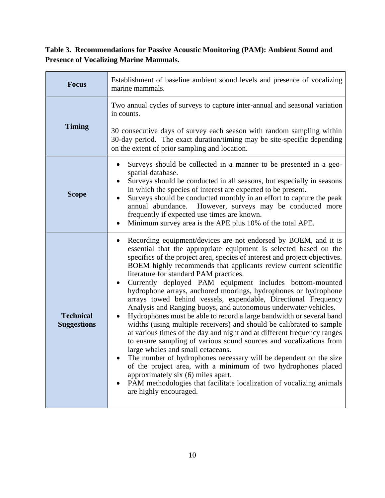# **Table 3. Recommendations for Passive Acoustic Monitoring (PAM): Ambient Sound and Presence of Vocalizing Marine Mammals.**

| <b>Focus</b>                           | Establishment of baseline ambient sound levels and presence of vocalizing<br>marine mammals.                                                                                                                                                                                                                                                                                                                                                                                                                                                                                                                                                                                                                                                                                                                                                                                                                                                                                                                                                                                                                                                                                                                                          |  |
|----------------------------------------|---------------------------------------------------------------------------------------------------------------------------------------------------------------------------------------------------------------------------------------------------------------------------------------------------------------------------------------------------------------------------------------------------------------------------------------------------------------------------------------------------------------------------------------------------------------------------------------------------------------------------------------------------------------------------------------------------------------------------------------------------------------------------------------------------------------------------------------------------------------------------------------------------------------------------------------------------------------------------------------------------------------------------------------------------------------------------------------------------------------------------------------------------------------------------------------------------------------------------------------|--|
| <b>Timing</b>                          | Two annual cycles of surveys to capture inter-annual and seasonal variation<br>in counts.                                                                                                                                                                                                                                                                                                                                                                                                                                                                                                                                                                                                                                                                                                                                                                                                                                                                                                                                                                                                                                                                                                                                             |  |
|                                        | 30 consecutive days of survey each season with random sampling within<br>30-day period. The exact duration/timing may be site-specific depending<br>on the extent of prior sampling and location.                                                                                                                                                                                                                                                                                                                                                                                                                                                                                                                                                                                                                                                                                                                                                                                                                                                                                                                                                                                                                                     |  |
| <b>Scope</b>                           | Surveys should be collected in a manner to be presented in a geo-<br>spatial database.<br>Surveys should be conducted in all seasons, but especially in seasons<br>in which the species of interest are expected to be present.<br>Surveys should be conducted monthly in an effort to capture the peak<br>However, surveys may be conducted more<br>annual abundance.<br>frequently if expected use times are known.<br>Minimum survey area is the APE plus 10% of the total APE.                                                                                                                                                                                                                                                                                                                                                                                                                                                                                                                                                                                                                                                                                                                                                    |  |
| <b>Technical</b><br><b>Suggestions</b> | Recording equipment/devices are not endorsed by BOEM, and it is<br>$\bullet$<br>essential that the appropriate equipment is selected based on the<br>specifics of the project area, species of interest and project objectives.<br>BOEM highly recommends that applicants review current scientific<br>literature for standard PAM practices.<br>Currently deployed PAM equipment includes bottom-mounted<br>hydrophone arrays, anchored moorings, hydrophones or hydrophone<br>arrays towed behind vessels, expendable, Directional Frequency<br>Analysis and Ranging buoys, and autonomous underwater vehicles.<br>Hydrophones must be able to record a large bandwidth or several band<br>widths (using multiple receivers) and should be calibrated to sample<br>at various times of the day and night and at different frequency ranges<br>to ensure sampling of various sound sources and vocalizations from<br>large whales and small cetaceans.<br>The number of hydrophones necessary will be dependent on the size<br>of the project area, with a minimum of two hydrophones placed<br>approximately six (6) miles apart.<br>PAM methodologies that facilitate localization of vocalizing animals<br>are highly encouraged. |  |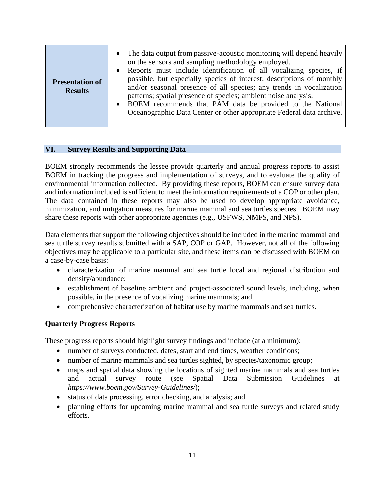| <b>Presentation of</b><br><b>Results</b> | The data output from passive-acoustic monitoring will depend heavily<br>on the sensors and sampling methodology employed.<br>Reports must include identification of all vocalizing species, if<br>possible, but especially species of interest; descriptions of monthly<br>and/or seasonal presence of all species; any trends in vocalization<br>patterns; spatial presence of species; ambient noise analysis.<br>BOEM recommends that PAM data be provided to the National<br>Oceanographic Data Center or other appropriate Federal data archive. |
|------------------------------------------|-------------------------------------------------------------------------------------------------------------------------------------------------------------------------------------------------------------------------------------------------------------------------------------------------------------------------------------------------------------------------------------------------------------------------------------------------------------------------------------------------------------------------------------------------------|
|------------------------------------------|-------------------------------------------------------------------------------------------------------------------------------------------------------------------------------------------------------------------------------------------------------------------------------------------------------------------------------------------------------------------------------------------------------------------------------------------------------------------------------------------------------------------------------------------------------|

## **VI. Survey Results and Supporting Data**

BOEM strongly recommends the lessee provide quarterly and annual progress reports to assist BOEM in tracking the progress and implementation of surveys, and to evaluate the quality of environmental information collected. By providing these reports, BOEM can ensure survey data and information included is sufficient to meet the information requirements of a COP or other plan. The data contained in these reports may also be used to develop appropriate avoidance, minimization, and mitigation measures for marine mammal and sea turtles species. BOEM may share these reports with other appropriate agencies (e.g., USFWS, NMFS, and NPS).

Data elements that support the following objectives should be included in the marine mammal and sea turtle survey results submitted with a SAP, COP or GAP. However, not all of the following objectives may be applicable to a particular site, and these items can be discussed with BOEM on a case-by-case basis:

- characterization of marine mammal and sea turtle local and regional distribution and density/abundance;
- establishment of baseline ambient and project-associated sound levels, including, when possible, in the presence of vocalizing marine mammals; and
- comprehensive characterization of habitat use by marine mammals and sea turtles.

# **Quarterly Progress Reports**

These progress reports should highlight survey findings and include (at a minimum):

- number of surveys conducted, dates, start and end times, weather conditions;
- number of marine mammals and sea turtles sighted, by species/taxonomic group;
- maps and spatial data showing the locations of sighted marine mammals and sea turtles and actual survey route (see Spatial Data Submission Guidelines at *https://www.boem.gov/Survey-Guidelines/*);
- status of data processing, error checking, and analysis; and
- planning efforts for upcoming marine mammal and sea turtle surveys and related study efforts.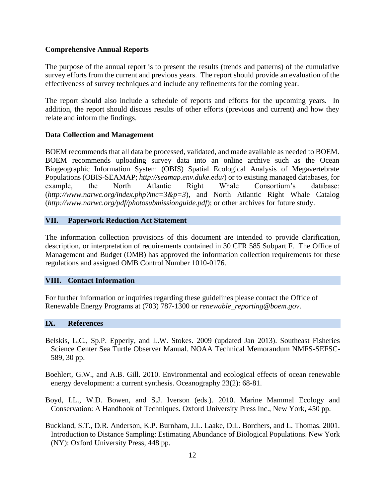### **Comprehensive Annual Reports**

The purpose of the annual report is to present the results (trends and patterns) of the cumulative survey efforts from the current and previous years. The report should provide an evaluation of the effectiveness of survey techniques and include any refinements for the coming year.

The report should also include a schedule of reports and efforts for the upcoming years. In addition, the report should discuss results of other efforts (previous and current) and how they relate and inform the findings.

### **Data Collection and Management**

BOEM recommends that all data be processed, validated, and made available as needed to BOEM. BOEM recommends uploading survey data into an online archive such as the Ocean Biogeographic Information System (OBIS) Spatial Ecological Analysis of Megavertebrate Populations (OBIS-SEAMAP; *<http://seamap.env.duke.edu/>*) or to existing managed databases, for example, the North Atlantic Right Whale Consortium's database: (*<http://www.narwc.org/index.php?mc=3&p=3>*), and North Atlantic Right Whale Catalog (*<http://www.narwc.org/pdf/photosubmissionguide.pdf>*); or other archives for future study.

### **VII. Paperwork Reduction Act Statement**

The information collection provisions of this document are intended to provide clarification, description, or interpretation of requirements contained in 30 CFR 585 Subpart F. The Office of Management and Budget (OMB) has approved the information collection requirements for these regulations and assigned OMB Control Number 1010-0176.

#### **VIII. Contact Information**

For further information or inquiries regarding these guidelines please contact the Office of Renewable Energy Programs at (703) 787-1300 or *[renewable\\_reporting@boem.gov](mailto:renewable_reporting@boem.gov)*.

## **IX. References**

- Belskis, L.C., Sp.P. Epperly, and L.W. Stokes. 2009 (updated Jan 2013). Southeast Fisheries Science Center Sea Turtle Observer Manual. NOAA Technical Memorandum NMFS-SEFSC-589, 30 pp.
- Boehlert, G.W., and A.B. Gill. 2010. Environmental and ecological effects of ocean renewable energy development: a current synthesis. Oceanography 23(2): 68-81.
- Boyd, I.L., W.D. Bowen, and S.J. Iverson (eds.). 2010. Marine Mammal Ecology and Conservation: A Handbook of Techniques. Oxford University Press Inc., New York, 450 pp.
- Buckland, S.T., D.R. Anderson, K.P. Burnham, J.L. Laake, D.L. Borchers, and L. Thomas. 2001. Introduction to Distance Sampling: Estimating Abundance of Biological Populations. New York (NY): Oxford University Press, 448 pp.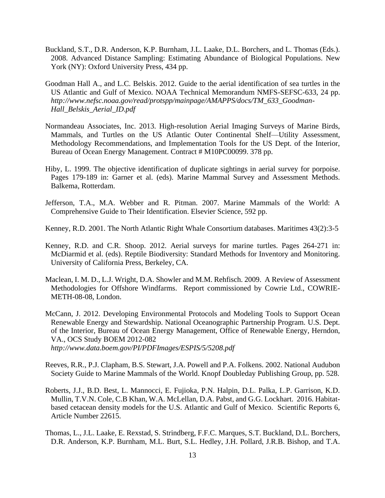- Buckland, S.T., D.R. Anderson, K.P. Burnham, J.L. Laake, D.L. Borchers, and L. Thomas (Eds.). 2008. Advanced Distance Sampling: Estimating Abundance of Biological Populations. New York (NY): Oxford University Press, 434 pp.
- Goodman Hall A., and L.C. Belskis. 2012. Guide to the aerial identification of sea turtles in the US Atlantic and Gulf of Mexico. NOAA Technical Memorandum NMFS-SEFSC-633, 24 pp. *[http://www.nefsc.noaa.gov/read/protspp/mainpage/AMAPPS/docs/TM\\_633\\_Goodman-](http://www.nefsc.noaa.gov/read/protspp/mainpage/AMAPPS/docs/TM_633_Goodman-Hall_Belskis_Aerial_ID.pdf)[Hall\\_Belskis\\_Aerial\\_ID.pdf](http://www.nefsc.noaa.gov/read/protspp/mainpage/AMAPPS/docs/TM_633_Goodman-Hall_Belskis_Aerial_ID.pdf)*
- Normandeau Associates, Inc. 2013. High-resolution Aerial Imaging Surveys of Marine Birds, Mammals, and Turtles on the US Atlantic Outer Continental Shelf—Utility Assessment, Methodology Recommendations, and Implementation Tools for the US Dept. of the Interior, Bureau of Ocean Energy Management. Contract # M10PC00099. 378 pp.
- Hiby, L. 1999. The objective identification of duplicate sightings in aerial survey for porpoise. Pages 179-189 in: Garner et al. (eds). Marine Mammal Survey and Assessment Methods. Balkema, Rotterdam.
- Jefferson, T.A., M.A. Webber and R. Pitman. 2007. Marine Mammals of the World: A Comprehensive Guide to Their Identification. Elsevier Science, 592 pp.
- Kenney, R.D. 2001. The North Atlantic Right Whale Consortium databases. Maritimes 43(2):3-5
- Kenney, R.D. and C.R. Shoop. 2012. Aerial surveys for marine turtles. Pages 264-271 in: McDiarmid et al. (eds). Reptile Biodiversity: Standard Methods for Inventory and Monitoring. University of California Press, Berkeley, CA.
- Maclean, I. M. D., L.J. Wright, D.A. Showler and M.M. Rehfisch. 2009. A Review of Assessment Methodologies for Offshore Windfarms. Report commissioned by Cowrie Ltd., COWRIE-METH-08-08, London.
- McCann, J. 2012. Developing Environmental Protocols and Modeling Tools to Support Ocean Renewable Energy and Stewardship. National Oceanographic Partnership Program. U.S. Dept. of the Interior, Bureau of Ocean Energy Management, Office of Renewable Energy, Herndon, VA., OCS Study BOEM 2012-082 *<http://www.data.boem.gov/PI/PDFImages/ESPIS/5/5208.pdf>*
- Reeves, R.R., P.J. Clapham, B.S. Stewart, J.A. Powell and P.A. Folkens. 2002. National Audubon Society Guide to Marine Mammals of the World. Knopf Doubleday Publishing Group, pp. 528.
- Roberts, J.J., B.D. Best, L. Mannocci, E. Fujioka, P.N. Halpin, D.L. Palka, L.P. Garrison, K.D. Mullin, T.V.N. Cole, C.B Khan, W.A. McLellan, D.A. Pabst, and G.G. Lockhart. 2016. Habitatbased cetacean density models for the U.S. Atlantic and Gulf of Mexico. Scientific Reports 6, Article Number 22615.
- Thomas, L., J.L. Laake, E. Rexstad, S. Strindberg, F.F.C. Marques, S.T. Buckland, D.L. Borchers, D.R. Anderson, K.P. Burnham, M.L. Burt, S.L. Hedley, J.H. Pollard, J.R.B. Bishop, and T.A.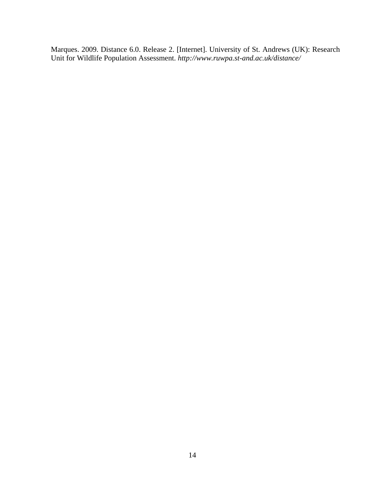Marques. 2009. Distance 6.0. Release 2. [Internet]. University of St. Andrews (UK): Research Unit for Wildlife Population Assessment. *http://www.ruwpa.st-and.ac.uk/distance/*